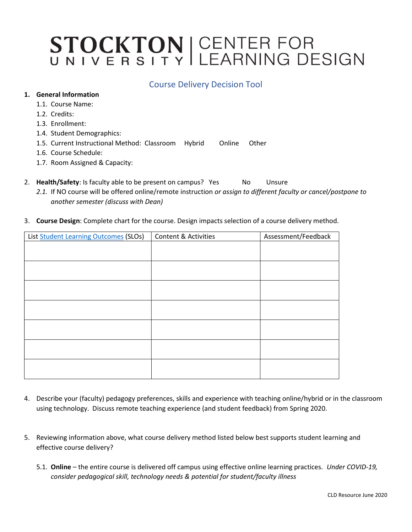# STOCKTON | CENTER FOR<br>UNIVERSITY LEARNING DESIGN

### Course Delivery Decision Tool

#### 1. General Information

- 1.1. Course Name:
- 1.2. Credits:
- 1.3. Enrollment:
- 1.4. Student Demographics:
- 1.5. Current Instructional Method: Classroom Hybrid Online Other
- 1.6. Course Schedule:
- 1.7. Room Assigned & Capacity:
- 2. Health/Safety: Is faculty able to be present on campus? Yes No Unsure
	- 2.1. If NO course will be offered online/remote instruction or assign to different faculty or cancel/postpone to another semester (discuss with Dean)
- 3. Course Design: Complete chart for the course. Design impacts selection of a course delivery method.

| List Student Learning Outcomes (SLOs) | <b>Content &amp; Activities</b> | Assessment/Feedback |
|---------------------------------------|---------------------------------|---------------------|
|                                       |                                 |                     |
|                                       |                                 |                     |
|                                       |                                 |                     |
|                                       |                                 |                     |
|                                       |                                 |                     |
|                                       |                                 |                     |
|                                       |                                 |                     |
|                                       |                                 |                     |
|                                       |                                 |                     |
|                                       |                                 |                     |
|                                       |                                 |                     |
|                                       |                                 |                     |
|                                       |                                 |                     |

- 4. Describe your (faculty) pedagogy preferences, skills and experience with teaching online/hybrid or in the classroom using technology. Discuss remote teaching experience (and student feedback) from Spring 2020.
- 5. Reviewing information above, what course delivery method listed below best supports student learning and effective course delivery?
	- 5.1. Online the entire course is delivered off campus using effective online learning practices. Under COVID-19, consider pedagogical skill, technology needs & potential for student/faculty illness